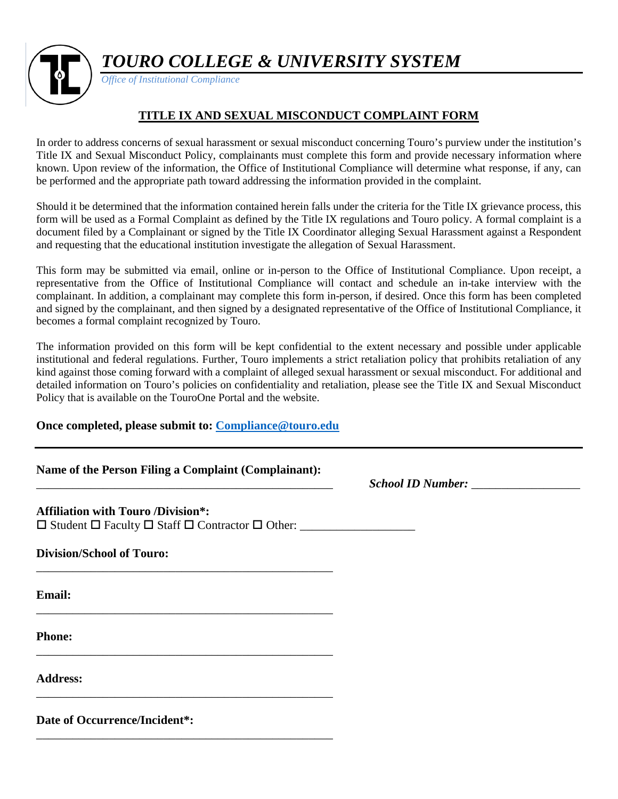*TOURO COLLEGE & UNIVERSITY SYSTEM*



*Office of Institutional Compliance*

## **TITLE IX AND SEXUAL MISCONDUCT COMPLAINT FORM**

In order to address concerns of sexual harassment or sexual misconduct concerning Touro's purview under the institution's Title IX and Sexual Misconduct Policy, complainants must complete this form and provide necessary information where known. Upon review of the information, the Office of Institutional Compliance will determine what response, if any, can be performed and the appropriate path toward addressing the information provided in the complaint.

Should it be determined that the information contained herein falls under the criteria for the Title IX grievance process, this form will be used as a Formal Complaint as defined by the Title IX regulations and Touro policy. A formal complaint is a document filed by a Complainant or signed by the Title IX Coordinator alleging Sexual Harassment against a Respondent and requesting that the educational institution investigate the allegation of Sexual Harassment.

This form may be submitted via email, online or in-person to the Office of Institutional Compliance. Upon receipt, a representative from the Office of Institutional Compliance will contact and schedule an in-take interview with the complainant. In addition, a complainant may complete this form in-person, if desired. Once this form has been completed and signed by the complainant, and then signed by a designated representative of the Office of Institutional Compliance, it becomes a formal complaint recognized by Touro.

The information provided on this form will be kept confidential to the extent necessary and possible under applicable institutional and federal regulations. Further, Touro implements a strict retaliation policy that prohibits retaliation of any kind against those coming forward with a complaint of alleged sexual harassment or sexual misconduct. For additional and detailed information on Touro's policies on confidentiality and retaliation, please see the Title IX and Sexual Misconduct Policy that is available on the TouroOne Portal and the website.

## **Once completed, please submit to: [Compliance@touro.edu](mailto:Compliance@touro.edu)**

|  |  | Name of the Person Filing a Complaint (Complainant): |
|--|--|------------------------------------------------------|
|  |  |                                                      |

\_\_\_\_\_\_\_\_\_\_\_\_\_\_\_\_\_\_\_\_\_\_\_\_\_\_\_\_\_\_\_\_\_\_\_\_\_\_\_\_\_\_\_\_\_\_\_\_\_ *School ID Number:* \_\_\_\_\_\_\_\_\_\_\_\_\_\_\_\_\_\_

## **Affiliation with Touro /Division\*:**

 $\square$  Student  $\square$  Faculty  $\square$  Staff  $\square$  Contractor  $\square$  Other:

\_\_\_\_\_\_\_\_\_\_\_\_\_\_\_\_\_\_\_\_\_\_\_\_\_\_\_\_\_\_\_\_\_\_\_\_\_\_\_\_\_\_\_\_\_\_\_\_\_

\_\_\_\_\_\_\_\_\_\_\_\_\_\_\_\_\_\_\_\_\_\_\_\_\_\_\_\_\_\_\_\_\_\_\_\_\_\_\_\_\_\_\_\_\_\_\_\_\_

\_\_\_\_\_\_\_\_\_\_\_\_\_\_\_\_\_\_\_\_\_\_\_\_\_\_\_\_\_\_\_\_\_\_\_\_\_\_\_\_\_\_\_\_\_\_\_\_\_

\_\_\_\_\_\_\_\_\_\_\_\_\_\_\_\_\_\_\_\_\_\_\_\_\_\_\_\_\_\_\_\_\_\_\_\_\_\_\_\_\_\_\_\_\_\_\_\_\_

\_\_\_\_\_\_\_\_\_\_\_\_\_\_\_\_\_\_\_\_\_\_\_\_\_\_\_\_\_\_\_\_\_\_\_\_\_\_\_\_\_\_\_\_\_\_\_\_\_

**Division/School of Touro:**

**Email:**

**Phone:**

**Address:**

**Date of Occurrence/Incident\*:**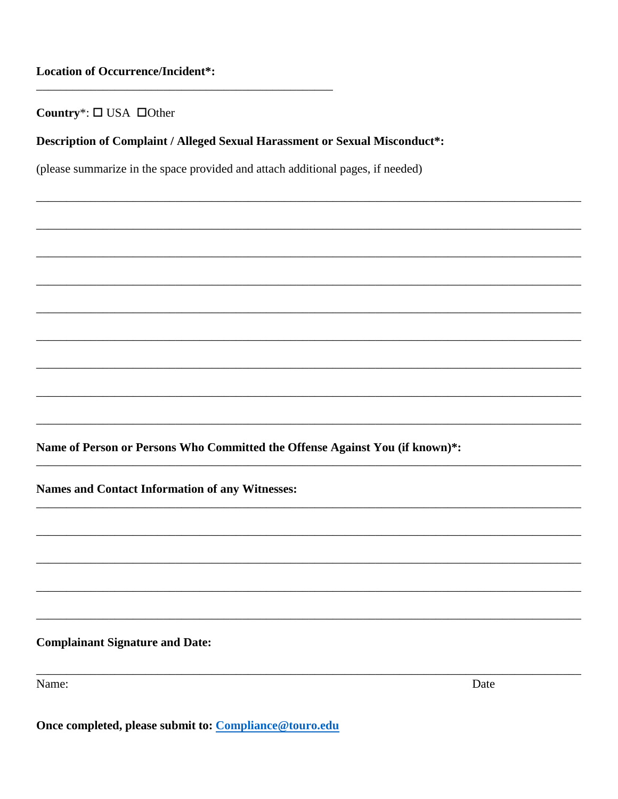Country<sup>\*</sup>:  $\square$  USA  $\square$  Other

Description of Complaint / Alleged Sexual Harassment or Sexual Misconduct\*:

(please summarize in the space provided and attach additional pages, if needed)

Name of Person or Persons Who Committed the Offense Against You (if known)\*:

Names and Contact Information of any Witnesses:

**Complainant Signature and Date:** 

Name:

Date

Once completed, please submit to: Compliance@touro.edu